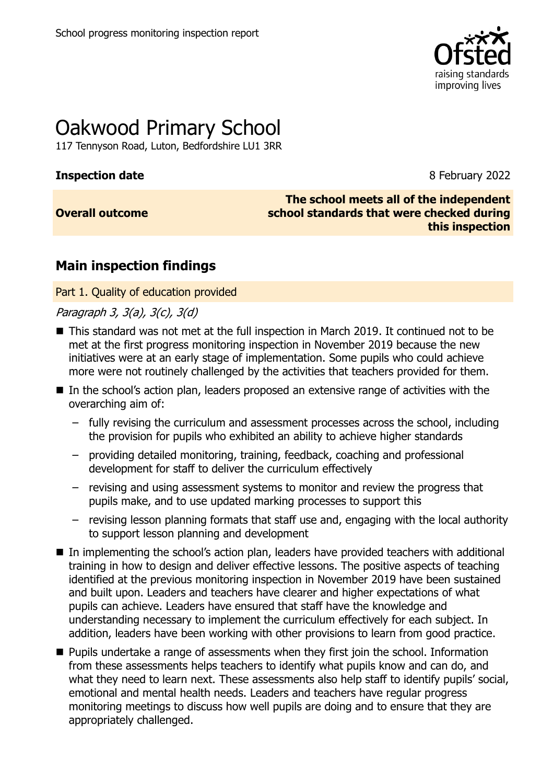

# Oakwood Primary School

117 Tennyson Road, Luton, Bedfordshire LU1 3RR

### **Inspection date** 8 February 2022

### **Overall outcome**

**The school meets all of the independent school standards that were checked during this inspection**

### **Main inspection findings**

Part 1. Quality of education provided

Paragraph 3, 3(a), 3(c), 3(d)

- This standard was not met at the full inspection in March 2019. It continued not to be met at the first progress monitoring inspection in November 2019 because the new initiatives were at an early stage of implementation. Some pupils who could achieve more were not routinely challenged by the activities that teachers provided for them.
- In the school's action plan, leaders proposed an extensive range of activities with the overarching aim of:
	- fully revising the curriculum and assessment processes across the school, including the provision for pupils who exhibited an ability to achieve higher standards
	- providing detailed monitoring, training, feedback, coaching and professional development for staff to deliver the curriculum effectively
	- revising and using assessment systems to monitor and review the progress that pupils make, and to use updated marking processes to support this
	- revising lesson planning formats that staff use and, engaging with the local authority to support lesson planning and development
- In implementing the school's action plan, leaders have provided teachers with additional training in how to design and deliver effective lessons. The positive aspects of teaching identified at the previous monitoring inspection in November 2019 have been sustained and built upon. Leaders and teachers have clearer and higher expectations of what pupils can achieve. Leaders have ensured that staff have the knowledge and understanding necessary to implement the curriculum effectively for each subject. In addition, leaders have been working with other provisions to learn from good practice.
- **Pupils undertake a range of assessments when they first join the school. Information** from these assessments helps teachers to identify what pupils know and can do, and what they need to learn next. These assessments also help staff to identify pupils' social, emotional and mental health needs. Leaders and teachers have regular progress monitoring meetings to discuss how well pupils are doing and to ensure that they are appropriately challenged.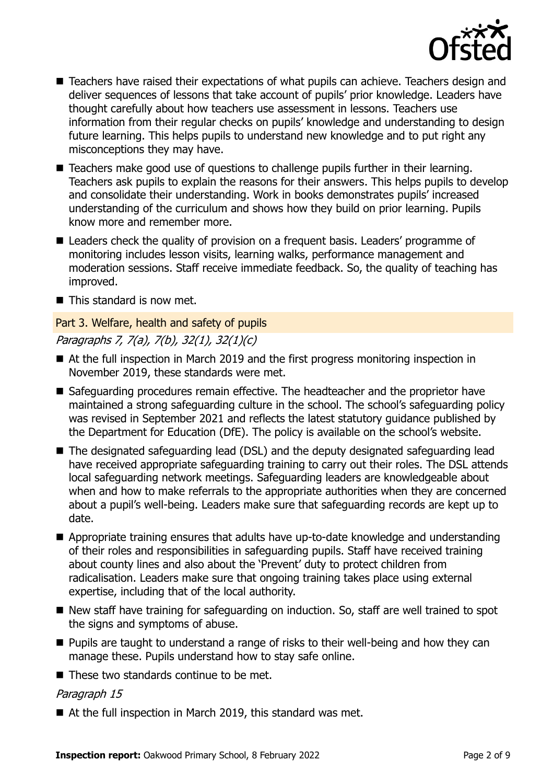

- Teachers have raised their expectations of what pupils can achieve. Teachers design and deliver sequences of lessons that take account of pupils' prior knowledge. Leaders have thought carefully about how teachers use assessment in lessons. Teachers use information from their regular checks on pupils' knowledge and understanding to design future learning. This helps pupils to understand new knowledge and to put right any misconceptions they may have.
- Teachers make good use of questions to challenge pupils further in their learning. Teachers ask pupils to explain the reasons for their answers. This helps pupils to develop and consolidate their understanding. Work in books demonstrates pupils' increased understanding of the curriculum and shows how they build on prior learning. Pupils know more and remember more.
- Leaders check the quality of provision on a frequent basis. Leaders' programme of monitoring includes lesson visits, learning walks, performance management and moderation sessions. Staff receive immediate feedback. So, the quality of teaching has improved.
- This standard is now met.

### Part 3. Welfare, health and safety of pupils Paragraphs 7, 7(a), 7(b), 32(1), 32(1)(c)

- At the full inspection in March 2019 and the first progress monitoring inspection in November 2019, these standards were met.
- Safeguarding procedures remain effective. The headteacher and the proprietor have maintained a strong safeguarding culture in the school. The school's safeguarding policy was revised in September 2021 and reflects the latest statutory guidance published by the Department for Education (DfE). The policy is available on the school's website.
- The designated safeguarding lead (DSL) and the deputy designated safeguarding lead have received appropriate safeguarding training to carry out their roles. The DSL attends local safeguarding network meetings. Safeguarding leaders are knowledgeable about when and how to make referrals to the appropriate authorities when they are concerned about a pupil's well-being. Leaders make sure that safeguarding records are kept up to date.
- Appropriate training ensures that adults have up-to-date knowledge and understanding of their roles and responsibilities in safeguarding pupils. Staff have received training about county lines and also about the 'Prevent' duty to protect children from radicalisation. Leaders make sure that ongoing training takes place using external expertise, including that of the local authority.
- New staff have training for safeguarding on induction. So, staff are well trained to spot the signs and symptoms of abuse.
- **Pupils are taught to understand a range of risks to their well-being and how they can** manage these. Pupils understand how to stay safe online.
- These two standards continue to be met.

### Paragraph 15

■ At the full inspection in March 2019, this standard was met.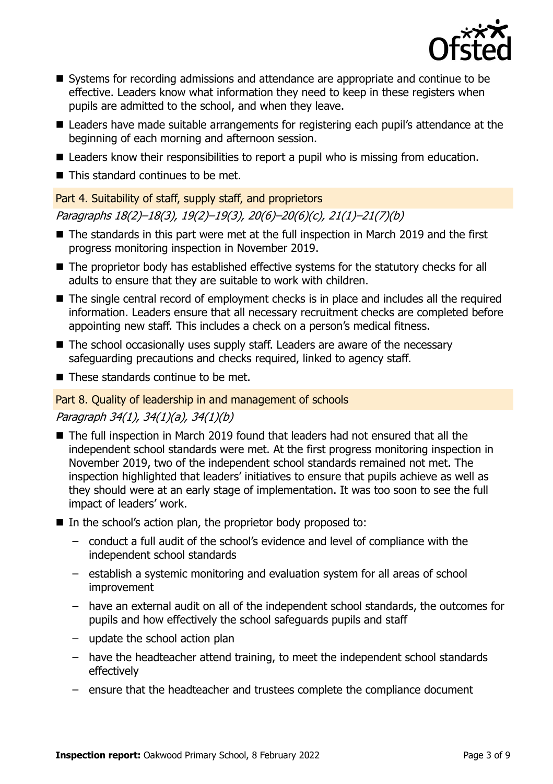

- Systems for recording admissions and attendance are appropriate and continue to be effective. Leaders know what information they need to keep in these registers when pupils are admitted to the school, and when they leave.
- Leaders have made suitable arrangements for registering each pupil's attendance at the beginning of each morning and afternoon session.
- Leaders know their responsibilities to report a pupil who is missing from education.
- This standard continues to be met.

### Part 4. Suitability of staff, supply staff, and proprietors

Paragraphs 18(2)–18(3), 19(2)–19(3), 20(6)–20(6)(c), 21(1)–21(7)(b)

- The standards in this part were met at the full inspection in March 2019 and the first progress monitoring inspection in November 2019.
- The proprietor body has established effective systems for the statutory checks for all adults to ensure that they are suitable to work with children.
- The single central record of employment checks is in place and includes all the required information. Leaders ensure that all necessary recruitment checks are completed before appointing new staff. This includes a check on a person's medical fitness.
- The school occasionally uses supply staff. Leaders are aware of the necessary safeguarding precautions and checks required, linked to agency staff.
- $\blacksquare$  These standards continue to be met.

### Part 8. Quality of leadership in and management of schools

### Paragraph 34(1), 34(1)(a), 34(1)(b)

- The full inspection in March 2019 found that leaders had not ensured that all the independent school standards were met. At the first progress monitoring inspection in November 2019, two of the independent school standards remained not met. The inspection highlighted that leaders' initiatives to ensure that pupils achieve as well as they should were at an early stage of implementation. It was too soon to see the full impact of leaders' work.
- In the school's action plan, the proprietor body proposed to:
	- conduct a full audit of the school's evidence and level of compliance with the independent school standards
	- establish a systemic monitoring and evaluation system for all areas of school improvement
	- have an external audit on all of the independent school standards, the outcomes for pupils and how effectively the school safeguards pupils and staff
	- update the school action plan
	- have the headteacher attend training, to meet the independent school standards effectively
	- ensure that the headteacher and trustees complete the compliance document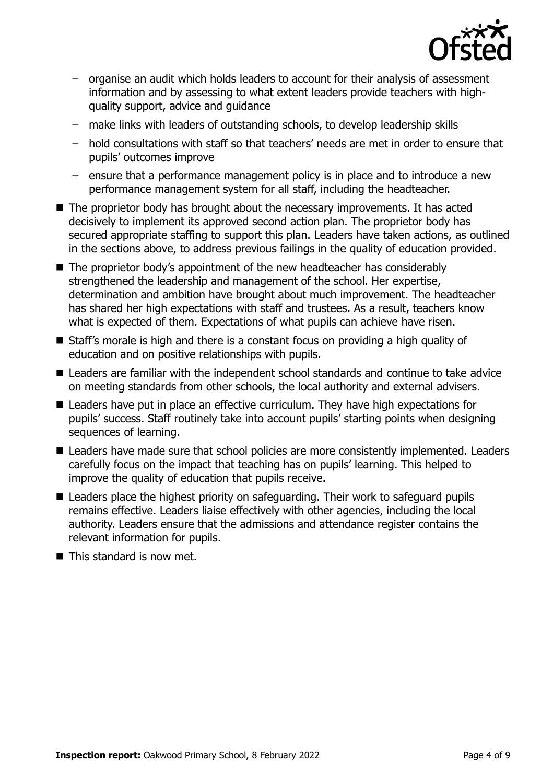

- organise an audit which holds leaders to account for their analysis of assessment information and by assessing to what extent leaders provide teachers with highquality support, advice and guidance
- make links with leaders of outstanding schools, to develop leadership skills
- hold consultations with staff so that teachers' needs are met in order to ensure that pupils' outcomes improve
- ensure that a performance management policy is in place and to introduce a new performance management system for all staff, including the headteacher.
- $\blacksquare$  The proprietor body has brought about the necessary improvements. It has acted decisively to implement its approved second action plan. The proprietor body has secured appropriate staffing to support this plan. Leaders have taken actions, as outlined in the sections above, to address previous failings in the quality of education provided.
- The proprietor body's appointment of the new headteacher has considerably strengthened the leadership and management of the school. Her expertise, determination and ambition have brought about much improvement. The headteacher has shared her high expectations with staff and trustees. As a result, teachers know what is expected of them. Expectations of what pupils can achieve have risen.
- Staff's morale is high and there is a constant focus on providing a high quality of education and on positive relationships with pupils.
- Leaders are familiar with the independent school standards and continue to take advice on meeting standards from other schools, the local authority and external advisers.
- Leaders have put in place an effective curriculum. They have high expectations for pupils' success. Staff routinely take into account pupils' starting points when designing sequences of learning.
- Leaders have made sure that school policies are more consistently implemented. Leaders carefully focus on the impact that teaching has on pupils' learning. This helped to improve the quality of education that pupils receive.
- Leaders place the highest priority on safeguarding. Their work to safeguard pupils remains effective. Leaders liaise effectively with other agencies, including the local authority. Leaders ensure that the admissions and attendance register contains the relevant information for pupils.
- $\blacksquare$  This standard is now met.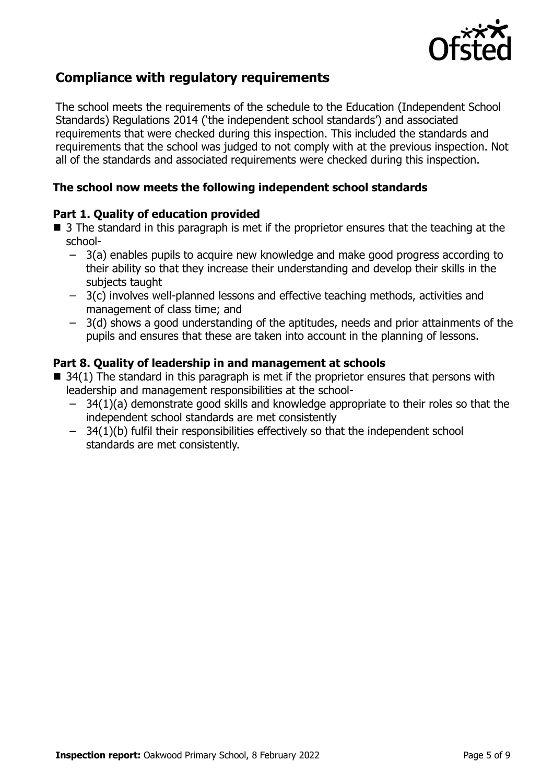

### **Compliance with regulatory requirements**

The school meets the requirements of the schedule to the Education (Independent School Standards) Regulations 2014 ('the independent school standards') and associated requirements that were checked during this inspection. This included the standards and requirements that the school was judged to not comply with at the previous inspection. Not all of the standards and associated requirements were checked during this inspection.

#### **The school now meets the following independent school standards**

#### **Part 1. Quality of education provided**

- 3 The standard in this paragraph is met if the proprietor ensures that the teaching at the school-
	- 3(a) enables pupils to acquire new knowledge and make good progress according to their ability so that they increase their understanding and develop their skills in the subjects taught
	- 3(c) involves well-planned lessons and effective teaching methods, activities and management of class time; and
	- 3(d) shows a good understanding of the aptitudes, needs and prior attainments of the pupils and ensures that these are taken into account in the planning of lessons.

### **Part 8. Quality of leadership in and management at schools**

- $\blacksquare$  34(1) The standard in this paragraph is met if the proprietor ensures that persons with leadership and management responsibilities at the school-
	- 34(1)(a) demonstrate good skills and knowledge appropriate to their roles so that the independent school standards are met consistently
	- 34(1)(b) fulfil their responsibilities effectively so that the independent school standards are met consistently.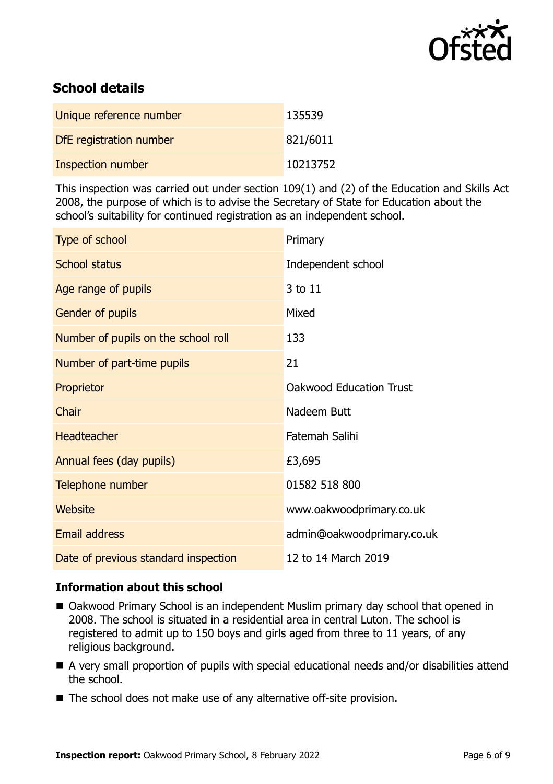

### **School details**

| Unique reference number | 135539   |
|-------------------------|----------|
| DfE registration number | 821/6011 |
| Inspection number       | 10213752 |

This inspection was carried out under section 109(1) and (2) of the Education and Skills Act 2008, the purpose of which is to advise the Secretary of State for Education about the school's suitability for continued registration as an independent school.

| Type of school                       | Primary                        |
|--------------------------------------|--------------------------------|
| <b>School status</b>                 | Independent school             |
| Age range of pupils                  | 3 to 11                        |
| Gender of pupils                     | Mixed                          |
| Number of pupils on the school roll  | 133                            |
| Number of part-time pupils           | 21                             |
| Proprietor                           | <b>Oakwood Education Trust</b> |
| Chair                                | Nadeem Butt                    |
| <b>Headteacher</b>                   | Fatemah Salihi                 |
| Annual fees (day pupils)             | £3,695                         |
| Telephone number                     | 01582 518 800                  |
| Website                              | www.oakwoodprimary.co.uk       |
| <b>Email address</b>                 | admin@oakwoodprimary.co.uk     |
| Date of previous standard inspection | 12 to 14 March 2019            |

### **Information about this school**

- Oakwood Primary School is an independent Muslim primary day school that opened in 2008. The school is situated in a residential area in central Luton. The school is registered to admit up to 150 boys and girls aged from three to 11 years, of any religious background.
- A very small proportion of pupils with special educational needs and/or disabilities attend the school.
- The school does not make use of any alternative off-site provision.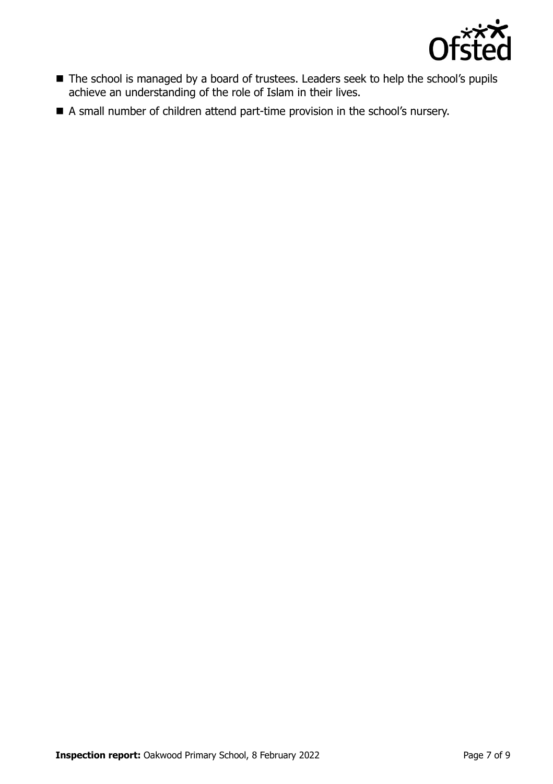

- The school is managed by a board of trustees. Leaders seek to help the school's pupils achieve an understanding of the role of Islam in their lives.
- A small number of children attend part-time provision in the school's nursery.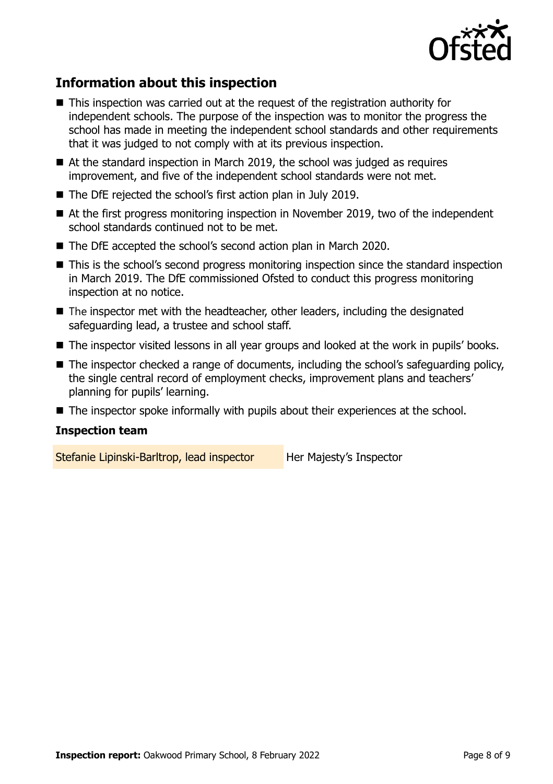

## **Information about this inspection**

- This inspection was carried out at the request of the registration authority for independent schools. The purpose of the inspection was to monitor the progress the school has made in meeting the independent school standards and other requirements that it was judged to not comply with at its previous inspection.
- At the standard inspection in March 2019, the school was judged as requires improvement, and five of the independent school standards were not met.
- The DfE rejected the school's first action plan in July 2019.
- At the first progress monitoring inspection in November 2019, two of the independent school standards continued not to be met.
- The DfE accepted the school's second action plan in March 2020.
- This is the school's second progress monitoring inspection since the standard inspection in March 2019. The DfE commissioned Ofsted to conduct this progress monitoring inspection at no notice.
- $\blacksquare$  The inspector met with the headteacher, other leaders, including the designated safeguarding lead, a trustee and school staff.
- The inspector visited lessons in all year groups and looked at the work in pupils' books.
- The inspector checked a range of documents, including the school's safeguarding policy, the single central record of employment checks, improvement plans and teachers' planning for pupils' learning.
- The inspector spoke informally with pupils about their experiences at the school.

### **Inspection team**

Stefanie Lipinski-Barltrop, lead inspector Her Majesty's Inspector